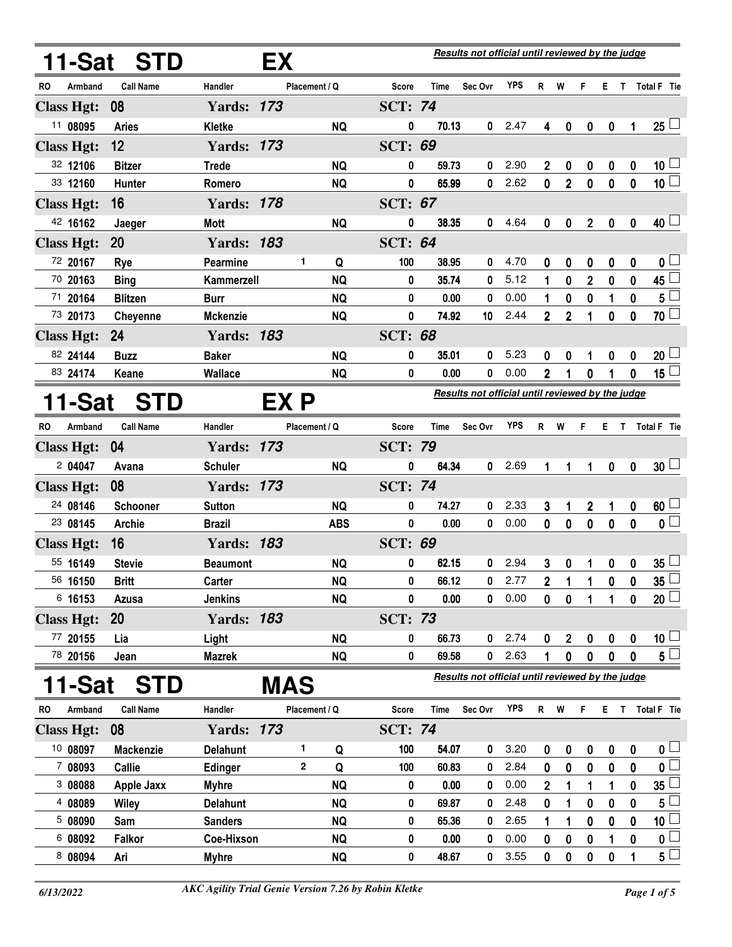|                      | Results not official until reviewed by the judge<br>11-Sat STD<br>EX |                   |      |               |            |                |       |                                                  |            |                |                |                  |                  |              |                         |
|----------------------|----------------------------------------------------------------------|-------------------|------|---------------|------------|----------------|-------|--------------------------------------------------|------------|----------------|----------------|------------------|------------------|--------------|-------------------------|
| RO<br>Armband        | <b>Call Name</b>                                                     | Handler           |      | Placement / Q |            | <b>Score</b>   | Time  | Sec Ovr                                          | <b>YPS</b> | R              | W              | F.               | E.               | $\mathsf{T}$ | <b>Total F</b> Tie      |
| <b>Class Hgt:</b>    | 08                                                                   | <b>Yards: 173</b> |      |               |            | <b>SCT: 74</b> |       |                                                  |            |                |                |                  |                  |              |                         |
| 11 08095             | <b>Aries</b>                                                         | Kletke            |      |               | <b>NQ</b>  | 0              | 70.13 | $\mathbf{0}$                                     | 2.47       | 4              | 0              | $\boldsymbol{0}$ | $\boldsymbol{0}$ | $\mathbf{1}$ | $25 -$                  |
| <b>Class Hgt:</b>    | 12                                                                   | <b>Yards: 173</b> |      |               |            | <b>SCT: 69</b> |       |                                                  |            |                |                |                  |                  |              |                         |
| 32 12106             | <b>Bitzer</b>                                                        | <b>Trede</b>      |      |               | <b>NQ</b>  | $\bf{0}$       | 59.73 | 0                                                | 2.90       | $\overline{2}$ | 0              | 0                | 0                | 0            | 10 $\lfloor$            |
| 33 12160             | <b>Hunter</b>                                                        | Romero            |      |               | <b>NQ</b>  | 0              | 65.99 | 0                                                | 2.62       | $\mathbf 0$    | $\overline{2}$ | 0                | $\pmb{0}$        | $\pmb{0}$    | 10 <sup>1</sup>         |
| <b>Class Hgt:</b>    | 16                                                                   | <b>Yards: 178</b> |      |               |            | <b>SCT: 67</b> |       |                                                  |            |                |                |                  |                  |              |                         |
| 42 16162             | Jaeger                                                               | <b>Mott</b>       |      |               | <b>NQ</b>  | 0              | 38.35 | 0                                                | 4.64       | 0              | 0              | $\mathbf 2$      | $\mathbf 0$      | 0            | $40+$                   |
| <b>Class Hgt:</b>    | 20                                                                   | <b>Yards: 183</b> |      |               |            | <b>SCT: 64</b> |       |                                                  |            |                |                |                  |                  |              |                         |
| 72 20167             | Rye                                                                  | Pearmine          |      | 1             | Q          | 100            | 38.95 | 0                                                | 4.70       | 0              | 0              | 0                | 0                | 0            | 0 L                     |
| 70 20163             | <b>Bing</b>                                                          | Kammerzell        |      |               | <b>NQ</b>  | 0              | 35.74 | 0                                                | 5.12       | $\mathbf{1}$   | 0              | $\overline{2}$   | $\mathbf{0}$     | $\mathbf 0$  | 45 l                    |
| 71 20164             | <b>Blitzen</b>                                                       | <b>Burr</b>       |      |               | <b>NQ</b>  | 0              | 0.00  | 0                                                | 0.00       |                | 0              | 0                | 1                | 0            | $5^{\frac{1}{2}}$       |
| 73 20173             | Cheyenne                                                             | <b>Mckenzie</b>   |      |               | <b>NQ</b>  | 0              | 74.92 | 10                                               | 2.44       | $\overline{2}$ | $\overline{2}$ | $\mathbf{1}$     | $\mathbf 0$      | $\mathbf{0}$ | $70$ $\Box$             |
| <b>Class Hgt:</b>    | 24                                                                   | <b>Yards: 183</b> |      |               |            | <b>SCT: 68</b> |       |                                                  |            |                |                |                  |                  |              |                         |
| 82 24144             | <b>Buzz</b>                                                          | <b>Baker</b>      |      |               | <b>NQ</b>  | 0              | 35.01 | 0                                                | 5.23       | 0              | 0              | 1                | 0                | 0            | $20\perp$               |
| 83 24174             | Keane                                                                | Wallace           |      |               | <b>NQ</b>  | 0              | 0.00  | 0                                                | 0.00       | $\mathbf{2}$   | 1              | 0                | 1                | 0            | 15 <sup>1</sup>         |
| 11-Sat               | <b>STD</b>                                                           |                   | EX P |               |            |                |       | Results not official until reviewed by the judge |            |                |                |                  |                  |              |                         |
| Armband<br><b>RO</b> | <b>Call Name</b>                                                     | Handler           |      | Placement / Q |            | <b>Score</b>   | Time  | Sec Ovr                                          | <b>YPS</b> | R W            |                | F.               | Е.               | $\mathbf{T}$ | Total F Tie             |
| <b>Class Hgt:</b>    | 04                                                                   | <b>Yards: 173</b> |      |               |            | <b>SCT: 79</b> |       |                                                  |            |                |                |                  |                  |              |                         |
| 2 04047              | Avana                                                                | <b>Schuler</b>    |      |               | <b>NQ</b>  | 0              | 64.34 | $\mathbf 0$                                      | 2.69       | 1              | 1              | 1                | $\mathbf{0}$     | $\mathbf 0$  | 30 <sup>1</sup>         |
| <b>Class Hgt:</b>    | 08                                                                   | <b>Yards: 173</b> |      |               |            | <b>SCT: 74</b> |       |                                                  |            |                |                |                  |                  |              |                         |
| 24 08146             | Schooner                                                             | <b>Sutton</b>     |      |               | <b>NQ</b>  | 0              | 74.27 | 0                                                | 2.33       | 3              | 1              | $\mathbf 2$      | 1                | 0            | 60 <sup>1</sup>         |
| 23 08145             | Archie                                                               | <b>Brazil</b>     |      |               | <b>ABS</b> | 0              | 0.00  | 0                                                | 0.00       | $\mathbf 0$    | 0              | $\pmb{0}$        | $\mathbf 0$      | $\mathbf 0$  | $\overline{\mathbf{0}}$ |
| <b>Class Hgt:</b>    | 16                                                                   | <b>Yards: 183</b> |      |               |            | <b>SCT: 69</b> |       |                                                  |            |                |                |                  |                  |              |                         |
| 55 16149             | <b>Stevie</b>                                                        | <b>Beaumont</b>   |      |               | <b>NQ</b>  | 0              | 62.15 | 0                                                | 2.94       | 3              | 0              | 1                | 0                | 0            | $35\perp$               |
| 56 16150             | <b>Britt</b>                                                         | Carter            |      |               | <b>NQ</b>  | 0              | 66.12 | 0                                                | 2.77       | $\mathbf 2$    | 1              |                  | 0                | 0            | $35\perp$               |
| 6 16153              | Azusa                                                                | <b>Jenkins</b>    |      |               | <b>NQ</b>  | 0              | 0.00  | 0                                                | 0.00       | 0              | 0              |                  | 1                | 0            | $20\sqcup$              |
| <b>Class Hgt:</b>    | 20                                                                   | <b>Yards: 183</b> |      |               |            | <b>SCT: 73</b> |       |                                                  |            |                |                |                  |                  |              |                         |
| 77 20155             | Lia                                                                  | Light             |      |               | <b>NQ</b>  | 0              | 66.73 | 0                                                | 2.74       | 0              | $\mathbf 2$    | 0                | $\pmb{0}$        | 0            | $10\perp$               |
| 78 20156             | Jean                                                                 | <b>Mazrek</b>     |      |               | <b>NQ</b>  | 0              | 69.58 | 0                                                | 2.63       |                | 0              | 0                | 0                | 0            | $5\Box$                 |
| 11-Sat               | <b>STD</b>                                                           |                   | MAS  |               |            |                |       | Results not official until reviewed by the judge |            |                |                |                  |                  |              |                         |
| RO<br>Armband        | <b>Call Name</b>                                                     | Handler           |      | Placement / Q |            | Score          | Time  | Sec Ovr                                          | <b>YPS</b> | R W            |                | F.               | E.               | $\mathsf T$  | Total F Tie             |
| <b>Class Hgt:</b>    | 08                                                                   | <b>Yards: 173</b> |      |               |            | <b>SCT: 74</b> |       |                                                  |            |                |                |                  |                  |              |                         |
| 10 08097             | <b>Mackenzie</b>                                                     | <b>Delahunt</b>   |      | 1             | Q          | 100            | 54.07 | 0                                                | 3.20       | 0              | 0              | 0                | 0                | 0            | 0 <sub>1</sub>          |
| 7 08093              | Callie                                                               | <b>Edinger</b>    |      | $\mathbf{2}$  | Q          | 100            | 60.83 | 0                                                | 2.84       | $\mathbf 0$    | $\bf{0}$       | 0                | $\mathbf 0$      | 0            | 0                       |
| 3 08088              | <b>Apple Jaxx</b>                                                    | <b>Myhre</b>      |      |               | <b>NQ</b>  | 0              | 0.00  | 0                                                | 0.00       | $\mathbf 2$    | 1              | 1                | 1                | 0            | $35\lfloor$             |
| 4 08089              | Wiley                                                                | <b>Delahunt</b>   |      |               | <b>NQ</b>  | 0              | 69.87 | 0                                                | 2.48       | 0              | 1              | 0                | 0                | $\bf{0}$     | 5                       |
| 5 08090              | Sam                                                                  | <b>Sanders</b>    |      |               | <b>NQ</b>  | $\pmb{0}$      | 65.36 | 0                                                | 2.65       |                | 1              | 0                | 0                | 0            | 10 <sup>1</sup>         |
| 6 08092              | <b>Falkor</b>                                                        | Coe-Hixson        |      |               | <b>NQ</b>  | 0              | 0.00  | 0                                                | 0.00       | 0              | 0              | $\pmb{0}$        | 1                | 0            | $\overline{\mathbf{0}}$ |

<sup>8</sup> 08094 Ari Myhre NQ 0 48.67 0 48.67 3.55 0 0 0 0 1 5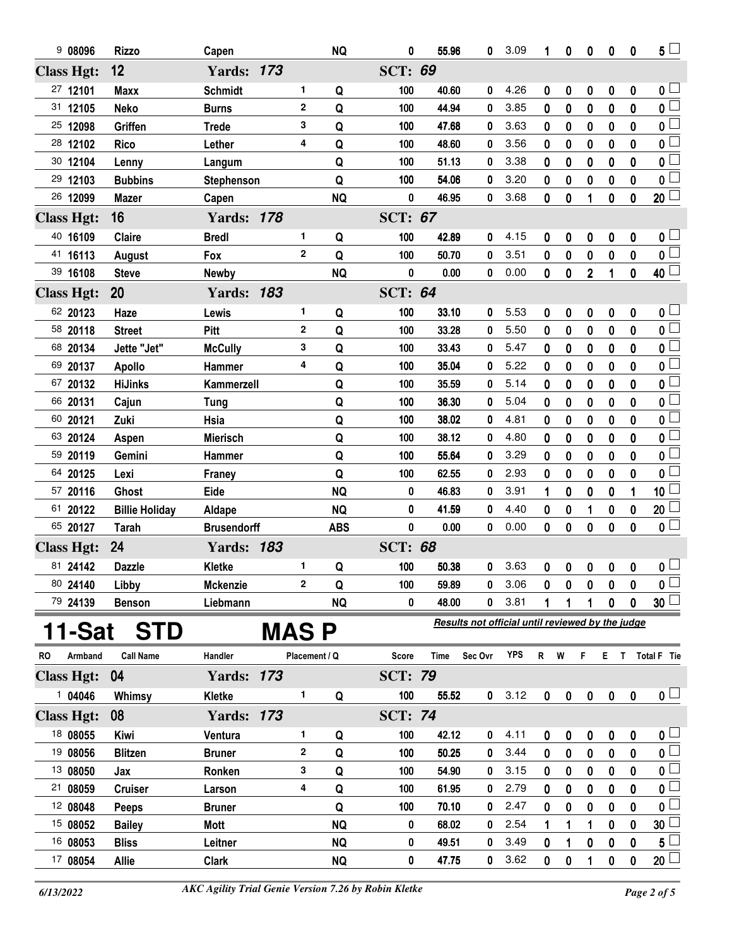| 908096                             | <b>Rizzo</b>           | Capen                        |       |               | <b>NQ</b>  | 0                       | 55.96          | 0                                                | 3.09         | 1           | 0                     | 0           | 0                | 0             | $5^{\perp}$                               |
|------------------------------------|------------------------|------------------------------|-------|---------------|------------|-------------------------|----------------|--------------------------------------------------|--------------|-------------|-----------------------|-------------|------------------|---------------|-------------------------------------------|
| <b>Class Hgt:</b>                  | 12                     | <b>Yards: 173</b>            |       |               |            | <b>SCT: 69</b>          |                |                                                  |              |             |                       |             |                  |               |                                           |
| 27 12101                           | <b>Maxx</b>            | <b>Schmidt</b>               |       | 1             | Q          | 100                     | 40.60          | 0                                                | 4.26         | 0           | 0                     | 0           | $\boldsymbol{0}$ | 0             | 0 <sub>1</sub>                            |
| 31 12105                           | <b>Neko</b>            | <b>Burns</b>                 |       | $\mathbf 2$   | Q          | 100                     | 44.94          | 0                                                | 3.85         | 0           | 0                     | 0           | $\mathbf 0$      | 0             | $\overline{0}$                            |
| 25 12098                           | Griffen                | <b>Trede</b>                 |       | 3             | Q          | 100                     | 47.68          | 0                                                | 3.63         | 0           | 0                     | 0           | 0                | 0             | 0 <sup>1</sup>                            |
| 28 12102                           | <b>Rico</b>            | Lether                       |       | 4             | Q          | 100                     | 48.60          | 0                                                | 3.56         | 0           | 0                     | 0           | 0                | 0             | 0 L                                       |
| 30 12104                           | Lenny                  | Langum                       |       |               | Q          | 100                     | 51.13          | 0                                                | 3.38         | 0           | 0                     | 0           | 0                | 0             | 0                                         |
| 29 12103                           | <b>Bubbins</b>         | Stephenson                   |       |               | Q          | 100                     | 54.06          | 0                                                | 3.20         | 0           | 0                     | 0           | $\bf{0}$         | 0             | 0 <sup>1</sup>                            |
| 26 12099                           | <b>Mazer</b>           | Capen                        |       |               | <b>NQ</b>  | 0                       | 46.95          | 0                                                | 3.68         | 0           | 0                     | 1           | 0                | 0             | $20 \Box$                                 |
| <b>Class Hgt:</b>                  | 16                     | <b>Yards: 178</b>            |       |               |            | <b>SCT: 67</b>          |                |                                                  |              |             |                       |             |                  |               |                                           |
| 40 16109                           | Claire                 | <b>Bredl</b>                 |       | 1             | Q          | 100                     | 42.89          | 0                                                | 4.15         | 0           | 0                     | 0           | 0                | 0             | 0 <sub>1</sub>                            |
| 41 16113                           | August                 | Fox                          |       | $\mathbf{2}$  | Q          | 100                     | 50.70          | 0                                                | 3.51         | 0           | 0                     | 0           | 0                | 0             | $\overline{\mathbf{0}}$                   |
| 39 16108                           | <b>Steve</b>           | <b>Newby</b>                 |       |               | <b>NQ</b>  | 0                       | 0.00           | 0                                                | 0.00         | 0           | 0                     | $\mathbf 2$ | 1                | 0             | 40 <sup>1</sup>                           |
| <b>Class Hgt:</b>                  | 20                     | <b>Yards: 183</b>            |       |               |            | <b>SCT: 64</b>          |                |                                                  |              |             |                       |             |                  |               |                                           |
| 62 20123                           | Haze                   | Lewis                        |       | 1             | Q          | 100                     | 33.10          | 0                                                | 5.53         | 0           | 0                     | 0           | 0                | 0             | $\mathfrak{o} \sqcup$                     |
| 58 20118                           | <b>Street</b>          | Pitt                         |       | $\mathbf{2}$  | Q          | 100                     | 33.28          | 0                                                | 5.50         | 0           | 0                     | 0           | 0                | 0             | $\overline{\mathbf{0}}$                   |
| 68 20134                           | Jette "Jet"            | <b>McCully</b>               |       | 3             | Q          | 100                     | 33.43          | 0                                                | 5.47         | 0           | 0                     | 0           | 0                | 0             | 0 <sup>1</sup>                            |
| 69 20137                           | <b>Apollo</b>          | Hammer                       |       | 4             | Q          | 100                     | 35.04          | 0                                                | 5.22         | 0           | 0                     | 0           | 0                | 0             | 0 L                                       |
| 67 20132                           | <b>HiJinks</b>         | Kammerzell                   |       |               | Q          | 100                     | 35.59          | 0                                                | 5.14         | 0           | 0                     | 0           | 0                | 0             | 0 <sup>1</sup>                            |
| 66 20131                           | Cajun                  | <b>Tung</b>                  |       |               | Q          | 100                     | 36.30          | 0                                                | 5.04         | 0           | 0                     | 0           | 0                | 0             | 0 L                                       |
| 60 20121                           | Zuki                   | Hsia                         |       |               | Q          | 100                     | 38.02          | 0                                                | 4.81         | 0           | 0                     | 0           | 0                | 0             | $0\frac{1}{2}$                            |
| 63 20124                           | Aspen                  | <b>Mierisch</b>              |       |               | Q          | 100                     | 38.12          | 0                                                | 4.80         | 0           | 0                     | 0           | 0                | 0             | $0\iota$                                  |
| 59 20119                           | Gemini                 | Hammer                       |       |               | Q          | 100                     | 55.64          | 0                                                | 3.29         | 0           | 0                     | 0           | 0                | 0             | 0 <sup>1</sup>                            |
| 64 20125                           | Lexi                   | Franey                       |       |               | Q          | 100                     | 62.55          | 0                                                | 2.93         | 0           | 0                     | 0           | 0                | 0             | 0                                         |
| 57 20116                           | Ghost                  | Eide                         |       |               | <b>NQ</b>  | 0                       | 46.83          | 0                                                | 3.91         | 1           | 0                     | 0           | 0                | 1             | 10                                        |
| 61 20122                           | <b>Billie Holiday</b>  | Aldape                       |       |               | <b>NQ</b>  | 0                       | 41.59          | 0                                                | 4.40         | 0           | $\boldsymbol{0}$      | 1           | 0                | $\bf{0}$      | 20                                        |
| 65 20127                           | Tarah                  | <b>Brusendorff</b>           |       |               | <b>ABS</b> | 0                       | 0.00           | 0                                                | 0.00         | 0           | 0                     | 0           | $\bf{0}$         | 0             | $\overline{\mathbf{0}}$                   |
| <b>Class Hgt:</b>                  | 24                     | <b>Yards: 183</b>            |       |               |            | <b>SCT: 68</b>          |                |                                                  |              |             |                       |             |                  |               |                                           |
| 81 24142                           | <b>Dazzle</b>          | Kletke                       |       | 1             | Q          | 100                     | 50.38          | 0                                                | 3.63         | 0           | 0                     | $\pmb{0}$   | $\pmb{0}$        | 0             | $\mathfrak{o} \sqcup$                     |
| 80 24140                           | Libby                  | <b>Mckenzie</b>              |       | 2             | Q          | 100                     | 59.89          | 0                                                | 3.06         | 0           | 0                     | 0           | 0                | 0             | $\overline{\mathbf{0}}$                   |
| 79 24139                           | <b>Benson</b>          | Liebmann                     |       |               | <b>NQ</b>  | 0                       | 48.00          | 0                                                | 3.81         |             |                       | 1           | 0                | 0             | $30\sqcup$                                |
| 11-Sat                             | <b>STD</b>             |                              | MAS P |               |            |                         |                | Results not official until reviewed by the judge |              |             |                       |             |                  |               |                                           |
|                                    |                        |                              |       |               |            |                         |                | Sec Ovr                                          | <b>YPS</b>   |             |                       |             |                  |               |                                           |
| Armband<br>RO<br><b>Class Hgt:</b> | <b>Call Name</b><br>04 | Handler<br><b>Yards: 173</b> |       | Placement / Q |            | Score<br><b>SCT: 79</b> | Time           |                                                  |              | R W         |                       | F.          |                  |               | E T Total F Tie                           |
| 104046                             | Whimsy                 | Kletke                       |       | 1             | Q          | 100                     | 55.52          | 0                                                | 3.12         | $\mathbf 0$ | $\pmb{0}$             | $\pmb{0}$   | 0                | 0             | $\mathbf{0}$ $\Box$                       |
| <b>Class Hgt:</b>                  | 08                     | <b>Yards: 173</b>            |       |               |            | <b>SCT: 74</b>          |                |                                                  |              |             |                       |             |                  |               |                                           |
|                                    |                        |                              |       |               |            |                         |                |                                                  |              |             |                       |             |                  |               |                                           |
| 18 08055<br>19 08056               | Kiwi<br><b>Blitzen</b> | Ventura                      |       | 1<br>2        | Q<br>Q     | 100                     | 42.12<br>50.25 | 0<br>0                                           | 4.11<br>3.44 | 0           | 0                     | 0           | 0                | 0             | 0 <sub>1</sub><br>$\overline{\mathbf{0}}$ |
| 13 08050                           |                        | <b>Bruner</b>                |       | 3             |            | 100<br>100              | 54.90          | 0                                                | 3.15         | 0           | 0                     | 0           | 0                | $\bf{0}$      | $\overline{\mathbf{0}}$                   |
| 21 08059                           | Jax<br><b>Cruiser</b>  | Ronken<br>Larson             |       | 4             | Q<br>Q     | 100                     | 61.95          | 0                                                | 2.79         | 0<br>0      | 0<br>$\boldsymbol{0}$ | 0<br>0      | 0<br>0           | 0<br>$\bf{0}$ | 0 L                                       |
| 12 08048                           | <b>Peeps</b>           | <b>Bruner</b>                |       |               | Q          | 100                     | 70.10          | 0                                                | 2.47         | 0           | 0                     | 0           | 0                | 0             | 0                                         |
| 15 08052                           | <b>Bailey</b>          | Mott                         |       |               | <b>NQ</b>  | 0                       | 68.02          | 0                                                | 2.54         | 1           | 1                     | 1           | 0                | 0             | 30                                        |
| 16 08053                           | <b>Bliss</b>           | Leitner                      |       |               | <b>NQ</b>  | 0                       | 49.51          | 0                                                | 3.49         | 0           |                       | 0           | 0                | 0             | 5                                         |
| 17 08054                           | <b>Allie</b>           | <b>Clark</b>                 |       |               | <b>NQ</b>  | 0                       | 47.75          | 0                                                | 3.62         | 0           | 0                     | 1           | 0                | 0             | 20 <sup>1</sup>                           |
|                                    |                        |                              |       |               |            |                         |                |                                                  |              |             |                       |             |                  |               |                                           |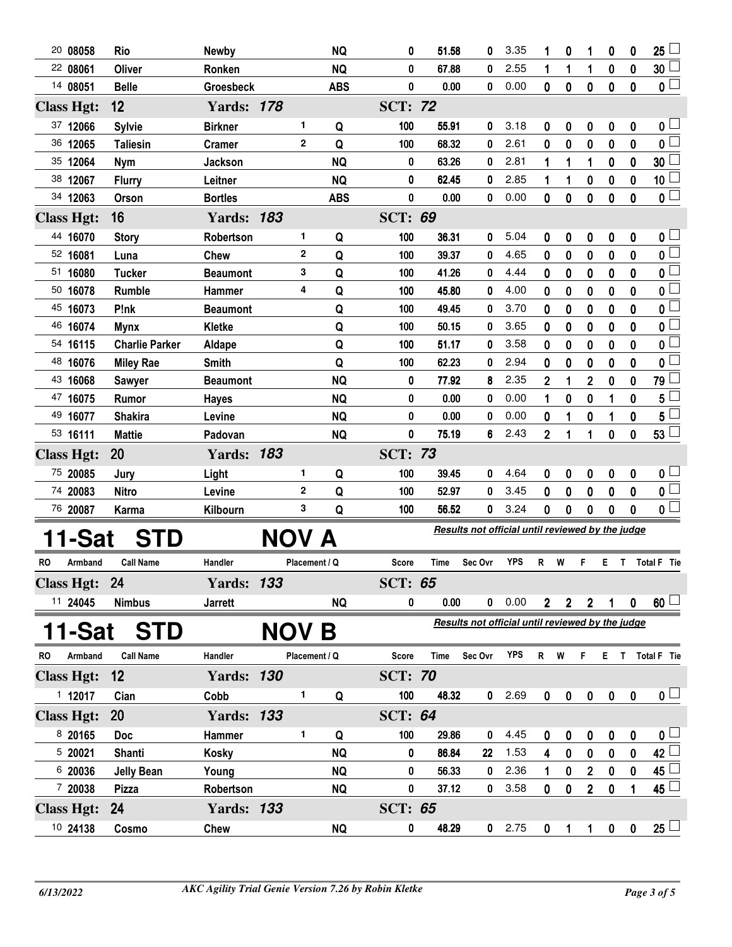| 20 08058             |    | Rio                   | <b>Newby</b>      |               | <b>NQ</b>  | 0              | 51.58 | 0                                                | 3.35       |                | 0              | 1              | 0                | 0                | 25 <sup>1</sup>         |
|----------------------|----|-----------------------|-------------------|---------------|------------|----------------|-------|--------------------------------------------------|------------|----------------|----------------|----------------|------------------|------------------|-------------------------|
| 22 08061             |    | <b>Oliver</b>         | Ronken            |               | <b>NQ</b>  | 0              | 67.88 | 0                                                | 2.55       | 1              | 1              | 1              | $\bf{0}$         | $\bf{0}$         | 30 <sup>1</sup>         |
| 14 08051             |    | <b>Belle</b>          | <b>Groesbeck</b>  |               | <b>ABS</b> | 0              | 0.00  | 0                                                | 0.00       | 0              | $\bf{0}$       | 0              | $\bf{0}$         | $\bf{0}$         | $\overline{\mathbf{0}}$ |
| <b>Class Hgt:</b>    |    | 12                    | <b>Yards: 178</b> |               |            | <b>SCT: 72</b> |       |                                                  |            |                |                |                |                  |                  |                         |
| 37 12066             |    | <b>Sylvie</b>         | <b>Birkner</b>    | 1             | Q          | 100            | 55.91 | 0                                                | 3.18       | 0              | 0              | 0              | 0                | 0                | 0 <sub>0</sub>          |
| 36 12065             |    | <b>Taliesin</b>       | <b>Cramer</b>     | 2             | Q          | 100            | 68.32 | 0                                                | 2.61       | 0              | 0              | 0              | $\bf{0}$         | $\bf{0}$         | $\overline{0}$          |
| 35 12064             |    | <b>Nym</b>            | <b>Jackson</b>    |               | <b>NQ</b>  | 0              | 63.26 | 0                                                | 2.81       | 1              | 1              | 1              | $\bf{0}$         | $\bf{0}$         | 30 <sup>1</sup>         |
| 38 12067             |    | <b>Flurry</b>         | Leitner           |               | <b>NQ</b>  | 0              | 62.45 | 0                                                | 2.85       | 1              | 1              | 0              | 0                | $\bf{0}$         | 10 <sup>1</sup>         |
| 34 12063             |    | Orson                 | <b>Bortles</b>    |               | <b>ABS</b> | 0              | 0.00  | 0                                                | 0.00       | 0              | 0              | 0              | $\bf{0}$         | $\mathbf{0}$     | $\overline{0}$          |
| <b>Class Hgt:</b>    |    | 16                    | <b>Yards: 183</b> |               |            | <b>SCT: 69</b> |       |                                                  |            |                |                |                |                  |                  |                         |
| 44 16070             |    | <b>Story</b>          | Robertson         | 1             | Q          | 100            | 36.31 | 0                                                | 5.04       | 0              | 0              | 0              | 0                | 0                | $\mathbf{0}$ $\Box$     |
| 52 16081             |    | Luna                  | <b>Chew</b>       | $\mathbf{2}$  | Q          | 100            | 39.37 | 0                                                | 4.65       | 0              | 0              | 0              | 0                | 0                | $\overline{\mathbf{0}}$ |
| 51 16080             |    | <b>Tucker</b>         | <b>Beaumont</b>   | 3             | Q          | 100            | 41.26 | 0                                                | 4.44       | 0              | 0              | 0              | 0                | 0                | $\overline{\mathbf{0}}$ |
| 50 16078             |    | <b>Rumble</b>         | Hammer            | 4             | Q          | 100            | 45.80 | 0                                                | 4.00       | 0              | 0              | 0              | 0                | 0                | 0 l                     |
| 45 16073             |    | P!nk                  | <b>Beaumont</b>   |               | Q          | 100            | 49.45 | 0                                                | 3.70       | 0              | 0              | 0              | 0                | 0                | $\overline{\mathbf{0}}$ |
| 46 16074             |    | <b>Mynx</b>           | Kletke            |               | Q          | 100            | 50.15 | 0                                                | 3.65       | 0              | 0              | 0              | 0                | 0                | 0 L                     |
| 54 16115             |    | <b>Charlie Parker</b> | Aldape            |               | Q          | 100            | 51.17 | 0                                                | 3.58       | 0              | 0              | 0              | 0                | 0                | $\overline{\mathbf{0}}$ |
| 48 16076             |    | <b>Miley Rae</b>      | <b>Smith</b>      |               | Q          | 100            | 62.23 | 0                                                | 2.94       | 0              | 0              | 0              | 0                | 0                | 0                       |
| 43 16068             |    | <b>Sawyer</b>         | <b>Beaumont</b>   |               | <b>NQ</b>  | 0              | 77.92 | 8                                                | 2.35       | $\mathbf 2$    | 1              | 2              | 0                | 0                | 79 L                    |
| 47 16075             |    | Rumor                 | <b>Hayes</b>      |               | <b>NQ</b>  | 0              | 0.00  | 0                                                | 0.00       | 1              | 0              | 0              | 1                | 0                | 5                       |
| 49 16077             |    | <b>Shakira</b>        | Levine            |               | <b>NQ</b>  | 0              | 0.00  | 0                                                | 0.00       | 0              |                | 0              | 1                | 0                | 5                       |
| 53 16111             |    | <b>Mattie</b>         | Padovan           |               | <b>NQ</b>  | 0              | 75.19 | 6                                                | 2.43       | $\overline{2}$ | 1              | 1              | $\mathbf{0}$     | $\mathbf{0}$     | 53                      |
| <b>Class Hgt:</b>    | 20 |                       | <b>Yards: 183</b> |               |            | <b>SCT: 73</b> |       |                                                  |            |                |                |                |                  |                  |                         |
| 75 20085             |    | Jury                  | Light             | 1             | Q          | 100            | 39.45 | 0                                                | 4.64       | 0              | 0              | 0              | 0                | 0                | 0 <sub>1</sub>          |
| 74 20083             |    | <b>Nitro</b>          | Levine            | $\mathbf{2}$  | Q          | 100            | 52.97 | 0                                                | 3.45       | 0              | 0              | 0              | 0                | 0                | $\overline{\mathbf{0}}$ |
| 76 20087             |    | Karma                 | Kilbourn          | 3             | Q          | 100            | 56.52 | 0                                                | 3.24       | 0              | 0              | 0              | 0                | 0                | $\overline{\mathbf{0}}$ |
| 11-Sat               |    | STD                   |                   |               |            |                |       | Results not official until reviewed by the judge |            |                |                |                |                  |                  |                         |
|                      |    |                       |                   | NOV A         |            |                |       |                                                  |            |                |                |                |                  |                  |                         |
| <b>RO</b><br>Armband |    | <b>Call Name</b>      | Handler           | Placement / Q |            | Score          | Time  | Sec Ovr                                          | <b>YPS</b> | R              | W              | F              | Е.               | $\mathbf{T}$     | Total F Tie             |
| <b>Class Hgt:</b>    | 24 |                       | <b>Yards: 133</b> |               |            | <b>SCT: 65</b> |       |                                                  |            |                |                |                |                  |                  |                         |
| 11 24045             |    | <b>Nimbus</b>         | <b>Jarrett</b>    |               | <b>NQ</b>  | 0              | 0.00  | $\mathbf 0$                                      | 0.00       | 2 <sup>1</sup> | 2 <sup>1</sup> | $\mathbf{2}$   |                  | 0                | $60 \Box$               |
| 11-Sat               |    | <b>STD</b>            |                   | NOV           | Β          |                |       | Results not official until reviewed by the judge |            |                |                |                |                  |                  |                         |
| Armband<br>RO        |    | <b>Call Name</b>      | Handler           | Placement / Q |            | Score          | Time  | Sec Ovr                                          | <b>YPS</b> | R W            |                | F.             |                  |                  | E T Total F Tie         |
| <b>Class Hgt:</b>    |    | 12                    | <b>Yards: 130</b> |               |            | <b>SCT: 70</b> |       |                                                  |            |                |                |                |                  |                  |                         |
| 112017               |    | Cian                  | Cobb              | 1.            | Q          | 100            | 48.32 | 0                                                | 2.69       | $\mathbf 0$    | $\pmb{0}$      | $\pmb{0}$      | $\mathbf 0$      | $\boldsymbol{0}$ | $\mathbf{0}$ $\Box$     |
| <b>Class Hgt:</b>    |    | 20                    | <b>Yards: 133</b> |               |            | <b>SCT: 64</b> |       |                                                  |            |                |                |                |                  |                  |                         |
| 8 20165              |    | <b>Doc</b>            | Hammer            | 1             | Q          | 100            | 29.86 | 0                                                | 4.45       | 0              | 0              | 0              | $\pmb{0}$        | $\boldsymbol{0}$ | $\mathbf{0}$ $\Box$     |
| 5 20021              |    | Shanti                | <b>Kosky</b>      |               | <b>NQ</b>  | 0              | 86.84 | 22                                               | 1.53       | 4              | $\bf{0}$       | 0              | $\bf{0}$         | $\boldsymbol{0}$ | $42 \Box$               |
| 6 20036              |    | <b>Jelly Bean</b>     | Young             |               | <b>NQ</b>  | 0              | 56.33 | 0                                                | 2.36       | 1              | 0              | $\overline{2}$ | $\boldsymbol{0}$ | $\pmb{0}$        | 45 <sup>1</sup>         |
| 7 20038              |    | <b>Pizza</b>          | Robertson         |               | <b>NQ</b>  | 0              | 37.12 | 0                                                | 3.58       | 0              | $\bf{0}$       | $\overline{2}$ | $\bf{0}$         | 1                | $45 \Box$               |
| <b>Class Hgt:</b>    |    | 24                    | <b>Yards: 133</b> |               |            | <b>SCT: 65</b> |       |                                                  |            |                |                |                |                  |                  |                         |
|                      |    |                       |                   |               |            |                |       |                                                  |            |                |                |                |                  |                  |                         |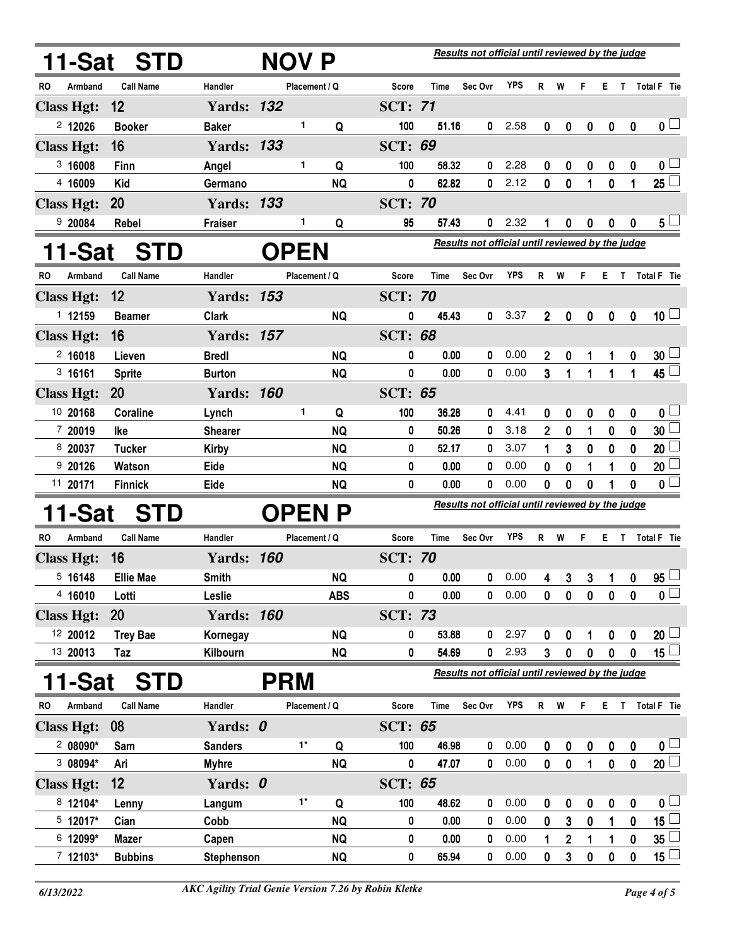| 11-Sat               | <b>STD</b>       |                   | NOV P         |            |                                                  |             | Results not official until reviewed by the judge |            |                |                |           |                  |                  |                           |
|----------------------|------------------|-------------------|---------------|------------|--------------------------------------------------|-------------|--------------------------------------------------|------------|----------------|----------------|-----------|------------------|------------------|---------------------------|
| Armband<br>RO        | <b>Call Name</b> | Handler           | Placement / Q |            | Score                                            | Time        | Sec Ovr                                          | <b>YPS</b> | $R$ W          |                | F.        |                  |                  | E T Total F Tie           |
| <b>Class Hgt:</b>    | 12               | <b>Yards: 132</b> |               |            | <b>SCT: 71</b>                                   |             |                                                  |            |                |                |           |                  |                  |                           |
| $2$ 12026            | <b>Booker</b>    | <b>Baker</b>      | 1             | Q          | 100                                              | 51.16       | 0                                                | 2.58       | $\mathbf 0$    | 0              | 0         | $\boldsymbol{0}$ | $\boldsymbol{0}$ | 0 <sub>1</sub>            |
| <b>Class Hgt:</b>    | 16               | <b>Yards: 133</b> |               |            | <b>SCT: 69</b>                                   |             |                                                  |            |                |                |           |                  |                  |                           |
| 3,16008              | <b>Finn</b>      | Angel             | 1             | Q          | 100                                              | 58.32       | 0                                                | 2.28       | 0              | 0              | 0         | 0                | $\boldsymbol{0}$ | 0 <sub>0</sub>            |
| 4 16009              | <b>Kid</b>       | Germano           |               | <b>NQ</b>  | 0                                                | 62.82       | 0                                                | 2.12       | 0              | $\bf{0}$       | 1         | 0                | 1                | $25 \Box$                 |
| <b>Class Hgt:</b>    | 20               | <b>Yards: 133</b> |               |            | <b>SCT: 70</b>                                   |             |                                                  |            |                |                |           |                  |                  |                           |
| 9 20084              | Rebel            | <b>Fraiser</b>    | 1             | Q          | 95                                               | 57.43       | 0                                                | 2.32       |                | 0              | 0         | 0                | 0                | $5^{\perp}$               |
| 11-Sat               | <b>STD</b>       |                   | <b>OPEN</b>   |            | Results not official until reviewed by the judge |             |                                                  |            |                |                |           |                  |                  |                           |
| Armband<br>RO        | <b>Call Name</b> | Handler           | Placement / Q |            | Score                                            | Time        | Sec Ovr                                          | <b>YPS</b> | R W            |                | F.        | E.               |                  | T Total F Tie             |
| <b>Class Hgt:</b>    | 12               | <b>Yards: 153</b> |               |            | <b>SCT: 70</b>                                   |             |                                                  |            |                |                |           |                  |                  |                           |
| 1 12159              | <b>Beamer</b>    | <b>Clark</b>      |               | <b>NQ</b>  | 0                                                | 45.43       | 0                                                | 3.37       | $\overline{2}$ | 0              | 0         | $\pmb{0}$        | 0                | $10\sqcup$                |
| <b>Class Hgt:</b>    | 16               | <b>Yards: 157</b> |               |            | <b>SCT: 68</b>                                   |             |                                                  |            |                |                |           |                  |                  |                           |
| 2,16018              | Lieven           | <b>Bredl</b>      |               | <b>NQ</b>  | 0                                                | 0.00        | 0                                                | 0.00       | $\mathbf{2}$   | 0              |           | 1                | 0                | $30\perp$                 |
| 3,16161              | <b>Sprite</b>    | <b>Burton</b>     |               | <b>NQ</b>  | 0                                                | 0.00        | 0                                                | 0.00       | 3              | $\mathbf{1}$   | 1         | 1                | 1                | $45\Box$                  |
| <b>Class Hgt:</b>    | <b>20</b>        | <b>Yards: 160</b> |               |            | <b>SCT: 65</b>                                   |             |                                                  |            |                |                |           |                  |                  |                           |
| 10 20168             | <b>Coraline</b>  | Lynch             | 1             | Q          | 100                                              | 36.28       | 0                                                | 4.41       | 0              | 0              | 0         | 0                | 0                | 0 <sub>1</sub>            |
| 7 20019              | Ike              | <b>Shearer</b>    |               | <b>NQ</b>  | 0                                                | 50.26       | 0                                                | 3.18       | $\overline{2}$ | $\bf{0}$       | 1         | $\bf{0}$         | $\bf{0}$         | 30 <sup>1</sup>           |
| 8 20037              | <b>Tucker</b>    | <b>Kirby</b>      |               | <b>NQ</b>  | 0                                                | 52.17       | 0                                                | 3.07       | 1              | 3              | 0         | 0                | 0                | 20 <sup>1</sup>           |
| 9 20126              | Watson           | Eide              |               | <b>NQ</b>  | 0                                                | 0.00        | 0                                                | 0.00       | 0              | $\bf{0}$       | 1         | 1                | 0                | 20 <sup>1</sup>           |
| 11 20171             | <b>Finnick</b>   | Eide              |               | <b>NQ</b>  | 0                                                | 0.00        | 0                                                | 0.00       | 0              | 0              | 0         |                  | 0                | $\overline{\mathfrak{o}}$ |
| 11-Sat               | <b>STD</b>       |                   | <b>OPEN</b>   |            | Results not official until reviewed by the judge |             |                                                  |            |                |                |           |                  |                  |                           |
| <b>RO</b><br>Armband | <b>Call Name</b> | Handler           | Placement / Q |            | Score                                            | Time        | Sec Ovr                                          | <b>YPS</b> | R.             | W              | F.        | Е.               | T                | <b>Total F</b> Tie        |
| <b>Class Hgt:</b>    | 16               | <b>Yards: 160</b> |               |            | <b>SCT: 70</b>                                   |             |                                                  |            |                |                |           |                  |                  |                           |
| 5 16148              | <b>Ellie Mae</b> | <b>Smith</b>      |               | <b>NQ</b>  | 0                                                | 0.00        | 0                                                | 0.00       | 4              | 3 <sup>1</sup> |           | $3 \quad 1$      | $\mathbf 0$      | $95 \Box$                 |
| 4 16010              | Lotti            | Leslie            |               | <b>ABS</b> | 0                                                | 0.00        | 0                                                | 0.00       | $\mathbf 0$    | $\mathbf 0$    | $\pmb{0}$ | $\pmb{0}$        | $\mathbf 0$      | $\overline{\mathfrak{o}}$ |
| <b>Class Hgt:</b>    | 20               | <b>Yards: 160</b> |               |            | <b>SCT: 73</b>                                   |             |                                                  |            |                |                |           |                  |                  |                           |
| 12 20012             | <b>Trey Bae</b>  | Kornegay          |               | <b>NQ</b>  | 0                                                | 53.88       | 0                                                | 2.97       | 0              | 0              | 1         | 0                | 0                | $20\sqcup$                |
| 13 20013             | Taz              | Kilbourn          |               | <b>NQ</b>  | 0                                                | 54.69       | 0                                                | 2.93       | 3 <sup>1</sup> | $\mathbf 0$    | 0         | $\mathbf 0$      | $\mathbf 0$      | 15 $\Box$                 |
| 11-Sat               | <b>STD</b>       |                   | <b>PRM</b>    |            |                                                  |             | Results not official until reviewed by the judge |            |                |                |           |                  |                  |                           |
| Armband<br>RO        | <b>Call Name</b> | Handler           | Placement / Q |            | <b>Score</b>                                     | <b>Time</b> | Sec Ovr                                          | <b>YPS</b> | R              | W              | F         | Е.               |                  | T Total F Tie             |
| <b>Class Hgt:</b>    | 08               | Yards: 0          |               |            | <b>SCT: 65</b>                                   |             |                                                  |            |                |                |           |                  |                  |                           |
| $208090*$            | Sam              | <b>Sanders</b>    | $1^*$         | Q          | 100                                              | 46.98       | 0                                                | 0.00       | 0              | 0              | 0         | 0                | 0                | $\mathbf{0} \Box$         |
| 3 08094*             | Ari              | <b>Myhre</b>      |               | <b>NQ</b>  | 0                                                | 47.07       | 0                                                | 0.00       | $\mathbf{0}$   | $\pmb{0}$      | 1         | $\mathbf 0$      | $\pmb{0}$        | 20 <sup>1</sup>           |
| <b>Class Hgt:</b>    | 12               | Yards: 0          |               |            | <b>SCT: 65</b>                                   |             |                                                  |            |                |                |           |                  |                  |                           |
| 8 12104*             | Lenny            | Langum            | $1^*$         | Q          | 100                                              | 48.62       | 0                                                | 0.00       | 0              | 0              | 0         | 0                | $\boldsymbol{0}$ | 0 <sub>1</sub>            |
| 5 12017*             | Cian             | Cobb              |               | <b>NQ</b>  | 0                                                | 0.00        | 0                                                | 0.00       | 0              | 3              | 0         | 1                | 0                | $\overline{15}$           |
| 6 12099*             | <b>Mazer</b>     | Capen             |               | <b>NQ</b>  | 0                                                | 0.00        | 0                                                | 0.00       | 1              | $\overline{2}$ | 1         | 1                | $\pmb{0}$        | $\overline{35}$           |
| $7 12103*$           | <b>Bubbins</b>   | <b>Stephenson</b> |               | <b>NQ</b>  | 0                                                | 65.94       | 0                                                | 0.00       | 0              | 3              | 0         | 0                | 0                | $15 \Box$                 |